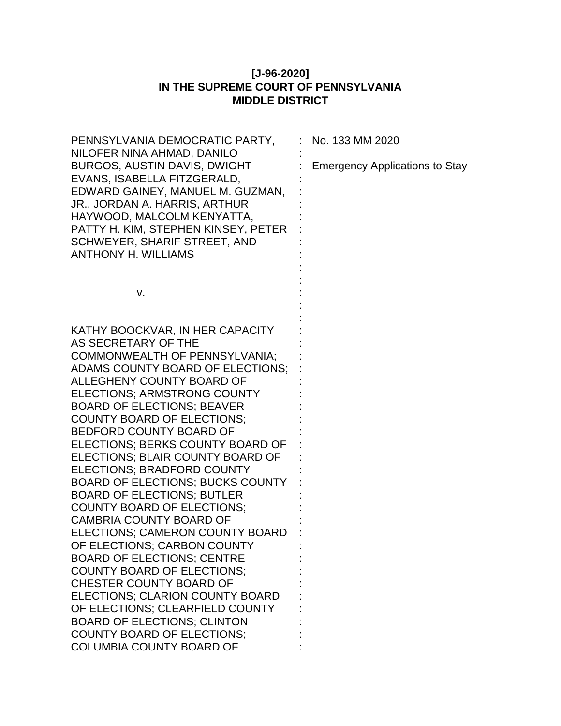## **[J-96-2020] IN THE SUPREME COURT OF PENNSYLVANIA MIDDLE DISTRICT**

| PENNSYLVANIA DEMOCRATIC PARTY,          | No. 133 MM 2020                       |
|-----------------------------------------|---------------------------------------|
| NILOFER NINA AHMAD, DANILO              |                                       |
| BURGOS, AUSTIN DAVIS, DWIGHT            | <b>Emergency Applications to Stay</b> |
| EVANS, ISABELLA FITZGERALD,             |                                       |
| EDWARD GAINEY, MANUEL M. GUZMAN,        |                                       |
| JR., JORDAN A. HARRIS, ARTHUR           |                                       |
| HAYWOOD, MALCOLM KENYATTA,              |                                       |
| PATTY H. KIM, STEPHEN KINSEY, PETER     |                                       |
| SCHWEYER, SHARIF STREET, AND            |                                       |
| <b>ANTHONY H. WILLIAMS</b>              |                                       |
|                                         |                                       |
|                                         |                                       |
| v.                                      |                                       |
|                                         |                                       |
| KATHY BOOCKVAR, IN HER CAPACITY         |                                       |
| AS SECRETARY OF THE                     |                                       |
| COMMONWEALTH OF PENNSYLVANIA;           |                                       |
| ADAMS COUNTY BOARD OF ELECTIONS;        |                                       |
| ALLEGHENY COUNTY BOARD OF               |                                       |
| <b>ELECTIONS: ARMSTRONG COUNTY</b>      |                                       |
| <b>BOARD OF ELECTIONS; BEAVER</b>       |                                       |
| COUNTY BOARD OF ELECTIONS;              |                                       |
| BEDFORD COUNTY BOARD OF                 |                                       |
| ELECTIONS; BERKS COUNTY BOARD OF        |                                       |
| ELECTIONS; BLAIR COUNTY BOARD OF        |                                       |
| ELECTIONS; BRADFORD COUNTY              |                                       |
| <b>BOARD OF ELECTIONS; BUCKS COUNTY</b> |                                       |
| <b>BOARD OF ELECTIONS; BUTLER</b>       |                                       |
| <b>COUNTY BOARD OF ELECTIONS:</b>       |                                       |
| <b>CAMBRIA COUNTY BOARD OF</b>          |                                       |
| ELECTIONS; CAMERON COUNTY BOARD         |                                       |
| OF ELECTIONS; CARBON COUNTY             |                                       |
| <b>BOARD OF ELECTIONS; CENTRE</b>       |                                       |
| <b>COUNTY BOARD OF ELECTIONS:</b>       |                                       |
| CHESTER COUNTY BOARD OF                 |                                       |
| ELECTIONS; CLARION COUNTY BOARD         |                                       |
| OF ELECTIONS; CLEARFIELD COUNTY         |                                       |
| <b>BOARD OF ELECTIONS; CLINTON</b>      |                                       |
| <b>COUNTY BOARD OF ELECTIONS;</b>       |                                       |
| <b>COLUMBIA COUNTY BOARD OF</b>         |                                       |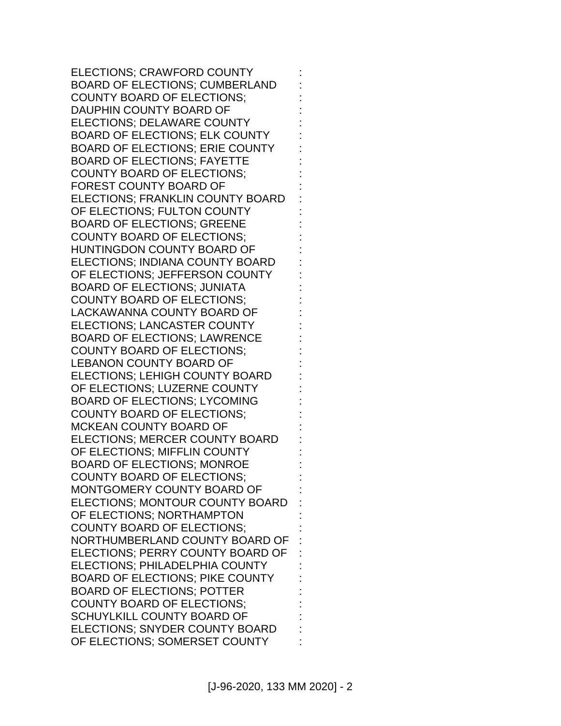ELECTIONS; CRAWFORD COUNTY BOARD OF ELECTIONS; CUMBERLAND COUNTY BOARD OF ELECTIONS; DAUPHIN COUNTY BOARD OF ELECTIONS; DELAWARE COUNTY BOARD OF ELECTIONS; ELK COUNTY BOARD OF ELECTIONS; ERIE COUNTY BOARD OF ELECTIONS; FAYETTE COUNTY BOARD OF ELECTIONS; FOREST COUNTY BOARD OF ELECTIONS; FRANKLIN COUNTY BOARD OF ELECTIONS; FULTON COUNTY BOARD OF ELECTIONS; GREENE COUNTY BOARD OF ELECTIONS; HUNTINGDON COUNTY BOARD OF ELECTIONS; INDIANA COUNTY BOARD OF ELECTIONS; JEFFERSON COUNTY BOARD OF ELECTIONS; JUNIATA COUNTY BOARD OF ELECTIONS; LACKAWANNA COUNTY BOARD OF ELECTIONS; LANCASTER COUNTY BOARD OF ELECTIONS; LAWRENCE COUNTY BOARD OF ELECTIONS; LEBANON COUNTY BOARD OF ELECTIONS; LEHIGH COUNTY BOARD OF ELECTIONS; LUZERNE COUNTY BOARD OF ELECTIONS; LYCOMING COUNTY BOARD OF ELECTIONS; MCKEAN COUNTY BOARD OF ELECTIONS; MERCER COUNTY BOARD OF ELECTIONS; MIFFLIN COUNTY BOARD OF ELECTIONS; MONROE COUNTY BOARD OF ELECTIONS; MONTGOMERY COUNTY BOARD OF ELECTIONS; MONTOUR COUNTY BOARD OF ELECTIONS; NORTHAMPTON COUNTY BOARD OF ELECTIONS; NORTHUMBERLAND COUNTY BOARD OF ELECTIONS; PERRY COUNTY BOARD OF ELECTIONS; PHILADELPHIA COUNTY BOARD OF ELECTIONS; PIKE COUNTY BOARD OF ELECTIONS; POTTER COUNTY BOARD OF ELECTIONS; SCHUYLKILL COUNTY BOARD OF ELECTIONS; SNYDER COUNTY BOARD OF ELECTIONS; SOMERSET COUNTY : : : : : : : : : : : : : : : : : : : : : : : : : : : : : : : : : : : : : : : : : : : : : :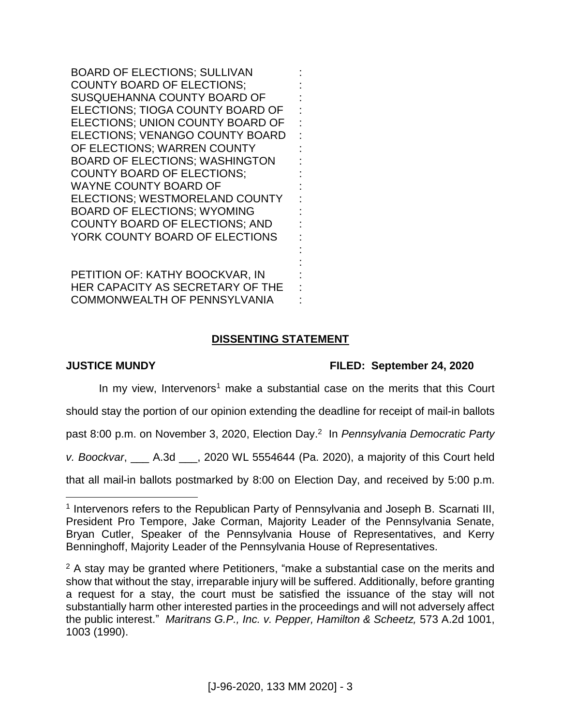BOARD OF ELECTIONS; SULLIVAN COUNTY BOARD OF ELECTIONS; SUSQUEHANNA COUNTY BOARD OF ELECTIONS; TIOGA COUNTY BOARD OF ELECTIONS; UNION COUNTY BOARD OF ELECTIONS; VENANGO COUNTY BOARD OF ELECTIONS; WARREN COUNTY BOARD OF ELECTIONS; WASHINGTON COUNTY BOARD OF ELECTIONS; WAYNE COUNTY BOARD OF ELECTIONS; WESTMORELAND COUNTY BOARD OF ELECTIONS; WYOMING COUNTY BOARD OF ELECTIONS; AND YORK COUNTY BOARD OF ELECTIONS

PETITION OF: KATHY BOOCKVAR, IN HER CAPACITY AS SECRETARY OF THE COMMONWEALTH OF PENNSYLVANIA

## **DISSENTING STATEMENT**

: : : : : : : : : : : : : : : : : : :

 $\overline{a}$ 

## **JUSTICE MUNDY FILED: September 24, 2020**

In my view, Intervenors<sup>1</sup> make a substantial case on the merits that this Court

should stay the portion of our opinion extending the deadline for receipt of mail-in ballots

past 8:00 p.m. on November 3, 2020, Election Day. 2 In *Pennsylvania Democratic Party* 

*v. Boockvar*, \_\_\_ A.3d \_\_\_, 2020 WL 5554644 (Pa. 2020), a majority of this Court held

that all mail-in ballots postmarked by 8:00 on Election Day, and received by 5:00 p.m.

<sup>&</sup>lt;sup>1</sup> Intervenors refers to the Republican Party of Pennsylvania and Joseph B. Scarnati III, President Pro Tempore, Jake Corman, Majority Leader of the Pennsylvania Senate, Bryan Cutler, Speaker of the Pennsylvania House of Representatives, and Kerry Benninghoff, Majority Leader of the Pennsylvania House of Representatives.

 $2A$  stay may be granted where Petitioners, "make a substantial case on the merits and show that without the stay, irreparable injury will be suffered. Additionally, before granting a request for a stay, the court must be satisfied the issuance of the stay will not substantially harm other interested parties in the proceedings and will not adversely affect the public interest." *Maritrans G.P., Inc. v. Pepper, Hamilton & Scheetz,* 573 A.2d 1001, 1003 (1990).